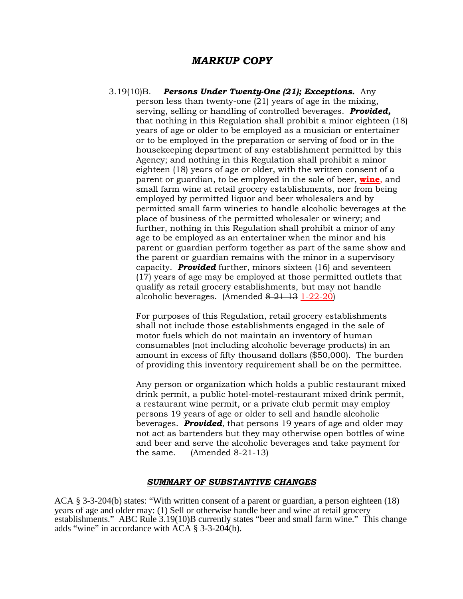## *MARKUP COPY*

3.19(10)B. *Persons Under Twenty-One (21); Exceptions.* Any person less than twenty-one (21) years of age in the mixing, serving, selling or handling of controlled beverages. *Provided,*  that nothing in this Regulation shall prohibit a minor eighteen (18) years of age or older to be employed as a musician or entertainer or to be employed in the preparation or serving of food or in the housekeeping department of any establishment permitted by this Agency; and nothing in this Regulation shall prohibit a minor eighteen (18) years of age or older, with the written consent of a parent or guardian, to be employed in the sale of beer, **wine**, and small farm wine at retail grocery establishments, nor from being employed by permitted liquor and beer wholesalers and by permitted small farm wineries to handle alcoholic beverages at the place of business of the permitted wholesaler or winery; and further, nothing in this Regulation shall prohibit a minor of any age to be employed as an entertainer when the minor and his parent or guardian perform together as part of the same show and the parent or guardian remains with the minor in a supervisory capacity. *Provided* further, minors sixteen (16) and seventeen (17) years of age may be employed at those permitted outlets that qualify as retail grocery establishments, but may not handle alcoholic beverages. (Amended 8-21-13 1-22-20)

For purposes of this Regulation, retail grocery establishments shall not include those establishments engaged in the sale of motor fuels which do not maintain an inventory of human consumables (not including alcoholic beverage products) in an amount in excess of fifty thousand dollars (\$50,000). The burden of providing this inventory requirement shall be on the permittee.

Any person or organization which holds a public restaurant mixed drink permit, a public hotel-motel-restaurant mixed drink permit, a restaurant wine permit, or a private club permit may employ persons 19 years of age or older to sell and handle alcoholic beverages. *Provided*, that persons 19 years of age and older may not act as bartenders but they may otherwise open bottles of wine and beer and serve the alcoholic beverages and take payment for the same. (Amended 8-21-13)

## *SUMMARY OF SUBSTANTIVE CHANGES*

ACA § 3-3-204(b) states: "With written consent of a parent or guardian, a person eighteen (18) years of age and older may: (1) Sell or otherwise handle beer and wine at retail grocery establishments." ABC Rule 3.19(10)B currently states "beer and small farm wine." This change adds "wine" in accordance with  $\angle ACA \$ § 3-3-204(b).